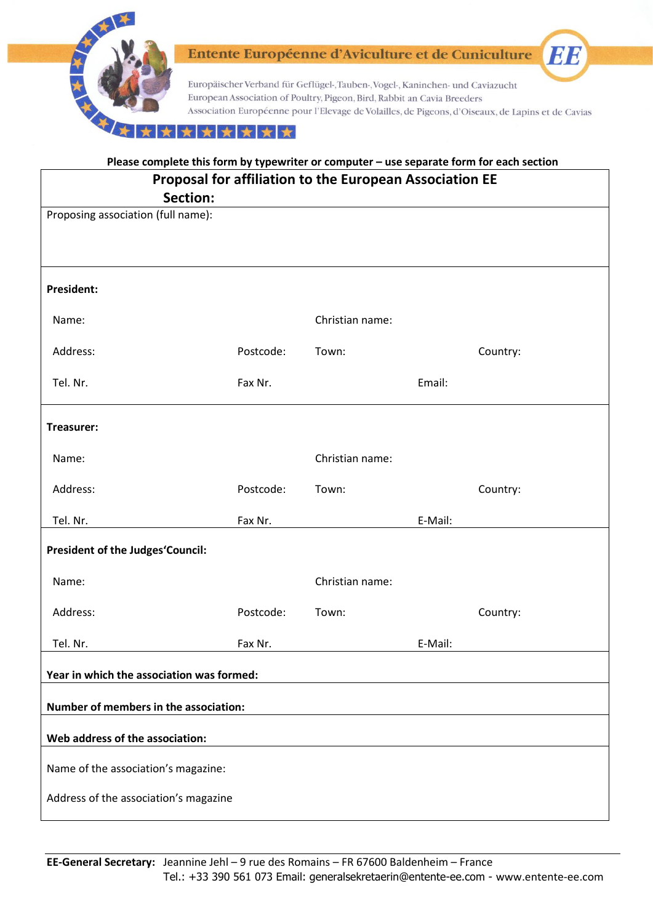

| Please complete this form by typewriter or computer - use separate form for each section |           |                 |         |          |  |
|------------------------------------------------------------------------------------------|-----------|-----------------|---------|----------|--|
| Proposal for affiliation to the European Association EE                                  |           |                 |         |          |  |
| Section:                                                                                 |           |                 |         |          |  |
| Proposing association (full name):                                                       |           |                 |         |          |  |
|                                                                                          |           |                 |         |          |  |
|                                                                                          |           |                 |         |          |  |
|                                                                                          |           |                 |         |          |  |
| <b>President:</b>                                                                        |           |                 |         |          |  |
|                                                                                          |           |                 |         |          |  |
| Name:                                                                                    |           | Christian name: |         |          |  |
| Address:                                                                                 | Postcode: | Town:           |         | Country: |  |
|                                                                                          |           |                 |         |          |  |
| Tel. Nr.                                                                                 | Fax Nr.   |                 | Email:  |          |  |
|                                                                                          |           |                 |         |          |  |
| Treasurer:                                                                               |           |                 |         |          |  |
|                                                                                          |           |                 |         |          |  |
| Name:                                                                                    |           | Christian name: |         |          |  |
|                                                                                          |           |                 |         |          |  |
| Address:                                                                                 | Postcode: | Town:           |         | Country: |  |
| Tel. Nr.                                                                                 | Fax Nr.   |                 | E-Mail: |          |  |
|                                                                                          |           |                 |         |          |  |
| <b>President of the Judges'Council:</b>                                                  |           |                 |         |          |  |
|                                                                                          |           |                 |         |          |  |
| Name:                                                                                    |           | Christian name: |         |          |  |
| Address:                                                                                 | Postcode: | Town:           |         | Country: |  |
|                                                                                          |           |                 |         |          |  |
| Tel. Nr.                                                                                 | Fax Nr.   |                 | E-Mail: |          |  |
|                                                                                          |           |                 |         |          |  |
| Year in which the association was formed:                                                |           |                 |         |          |  |
| Number of members in the association:                                                    |           |                 |         |          |  |
|                                                                                          |           |                 |         |          |  |
| Web address of the association:                                                          |           |                 |         |          |  |
| Name of the association's magazine:                                                      |           |                 |         |          |  |
|                                                                                          |           |                 |         |          |  |
| Address of the association's magazine                                                    |           |                 |         |          |  |
|                                                                                          |           |                 |         |          |  |